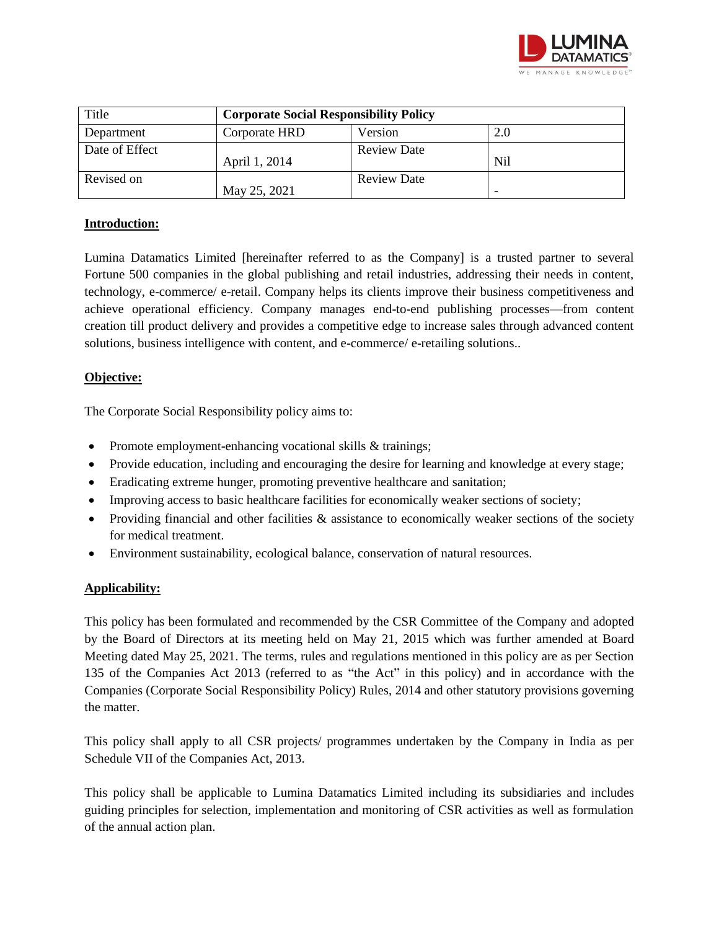

| Title          | <b>Corporate Social Responsibility Policy</b> |                    |     |
|----------------|-----------------------------------------------|--------------------|-----|
| Department     | Corporate HRD                                 | Version            | 2.0 |
| Date of Effect | April 1, 2014                                 | <b>Review Date</b> | Nil |
| Revised on     | May 25, 2021                                  | <b>Review Date</b> |     |

### **Introduction:**

Lumina Datamatics Limited [hereinafter referred to as the Company] is a trusted partner to several Fortune 500 companies in the global publishing and retail industries, addressing their needs in content, technology, e-commerce/ e-retail. Company helps its clients improve their business competitiveness and achieve operational efficiency. Company manages end-to-end publishing processes—from content creation till product delivery and provides a competitive edge to increase sales through advanced content solutions, business intelligence with content, and e-commerce/ e-retailing solutions..

### **Objective:**

The Corporate Social Responsibility policy aims to:

- Promote employment-enhancing vocational skills & trainings;
- Provide education, including and encouraging the desire for learning and knowledge at every stage;
- Eradicating extreme hunger, promoting preventive healthcare and sanitation;
- Improving access to basic healthcare facilities for economically weaker sections of society;
- Providing financial and other facilities  $\&$  assistance to economically weaker sections of the society for medical treatment.
- Environment sustainability, ecological balance, conservation of natural resources.

### **Applicability:**

This policy has been formulated and recommended by the CSR Committee of the Company and adopted by the Board of Directors at its meeting held on May 21, 2015 which was further amended at Board Meeting dated May 25, 2021. The terms, rules and regulations mentioned in this policy are as per Section 135 of the Companies Act 2013 (referred to as "the Act" in this policy) and in accordance with the Companies (Corporate Social Responsibility Policy) Rules, 2014 and other statutory provisions governing the matter.

This policy shall apply to all CSR projects/ programmes undertaken by the Company in India as per Schedule VII of the Companies Act, 2013.

This policy shall be applicable to Lumina Datamatics Limited including its subsidiaries and includes guiding principles for selection, implementation and monitoring of CSR activities as well as formulation of the annual action plan.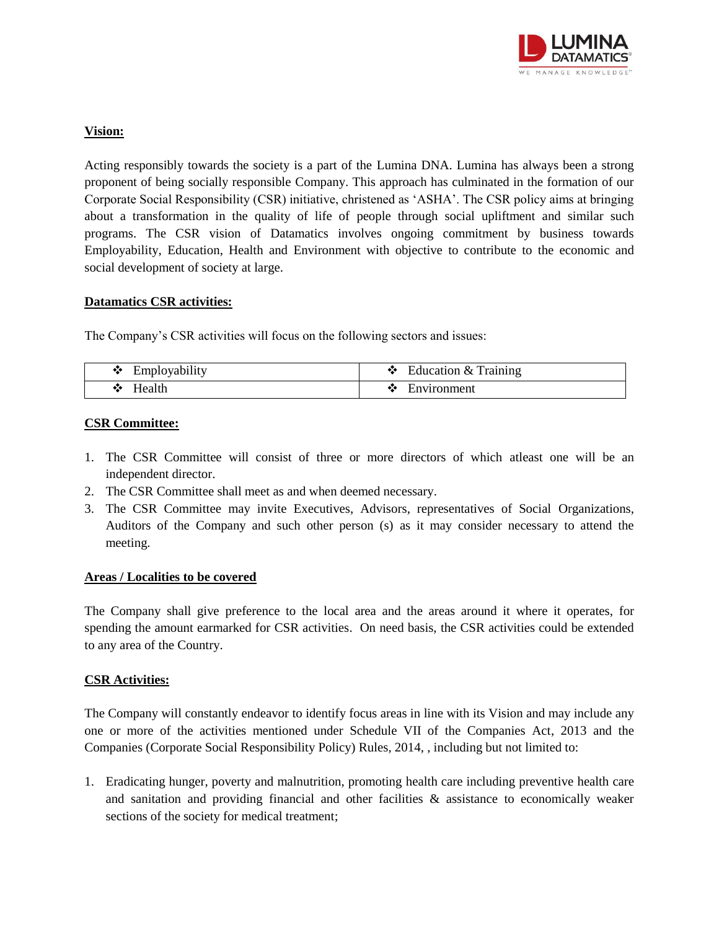

### **Vision:**

Acting responsibly towards the society is a part of the Lumina DNA. Lumina has always been a strong proponent of being socially responsible Company. This approach has culminated in the formation of our Corporate Social Responsibility (CSR) initiative, christened as 'ASHA'. The CSR policy aims at bringing about a transformation in the quality of life of people through social upliftment and similar such programs. The CSR vision of Datamatics involves ongoing commitment by business towards Employability, Education, Health and Environment with objective to contribute to the economic and social development of society at large.

### **Datamatics CSR activities:**

The Company's CSR activities will focus on the following sectors and issues:

| Employability | Education & Training |
|---------------|----------------------|
| ∙≫            | •:∙                  |
| Health<br>•:∙ | Environment          |

#### **CSR Committee:**

- 1. The CSR Committee will consist of three or more directors of which atleast one will be an independent director.
- 2. The CSR Committee shall meet as and when deemed necessary.
- 3. The CSR Committee may invite Executives, Advisors, representatives of Social Organizations, Auditors of the Company and such other person (s) as it may consider necessary to attend the meeting.

### **Areas / Localities to be covered**

The Company shall give preference to the local area and the areas around it where it operates, for spending the amount earmarked for CSR activities. On need basis, the CSR activities could be extended to any area of the Country.

### **CSR Activities:**

The Company will constantly endeavor to identify focus areas in line with its Vision and may include any one or more of the activities mentioned under Schedule VII of the Companies Act, 2013 and the Companies (Corporate Social Responsibility Policy) Rules, 2014, , including but not limited to:

1. Eradicating hunger, poverty and malnutrition, promoting health care including preventive health care and sanitation and providing financial and other facilities  $\&$  assistance to economically weaker sections of the society for medical treatment;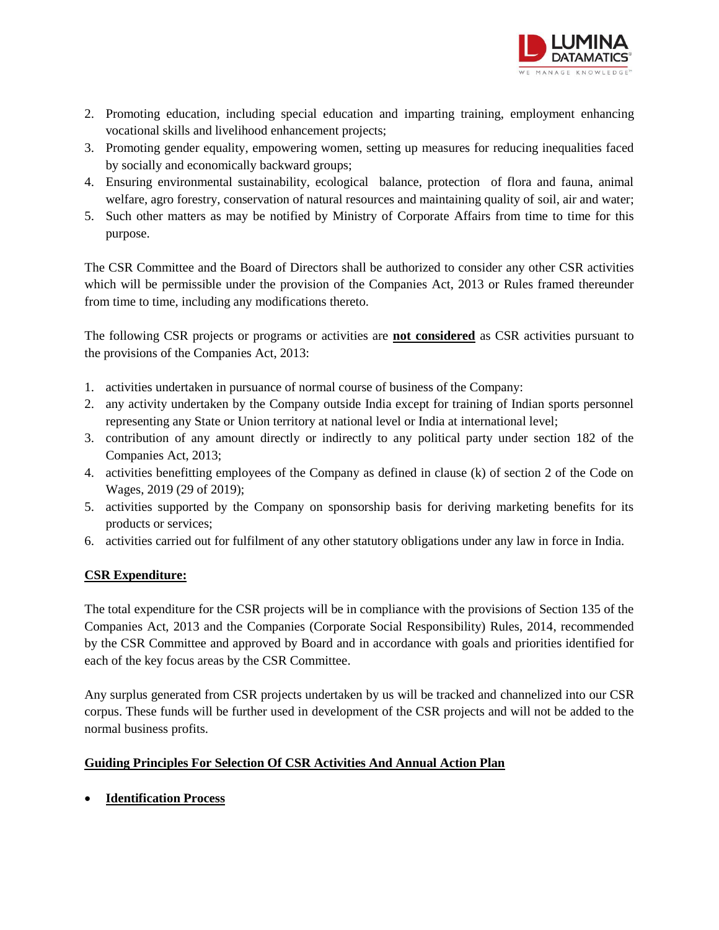

- 2. Promoting education, including special education and imparting training, employment enhancing vocational skills and livelihood enhancement projects;
- 3. Promoting gender equality, empowering women, setting up measures for reducing inequalities faced by socially and economically backward groups;
- 4. Ensuring environmental sustainability, ecological balance, protection of flora and fauna, animal welfare, agro forestry, conservation of natural resources and maintaining quality of soil, air and water;
- 5. Such other matters as may be notified by Ministry of Corporate Affairs from time to time for this purpose.

The CSR Committee and the Board of Directors shall be authorized to consider any other CSR activities which will be permissible under the provision of the Companies Act, 2013 or Rules framed thereunder from time to time, including any modifications thereto.

The following CSR projects or programs or activities are **not considered** as CSR activities pursuant to the provisions of the Companies Act, 2013:

- 1. activities undertaken in pursuance of normal course of business of the Company:
- 2. any activity undertaken by the Company outside India except for training of Indian sports personnel representing any State or Union territory at national level or India at international level;
- 3. contribution of any amount directly or indirectly to any political party under section 182 of the Companies Act, 2013;
- 4. activities benefitting employees of the Company as defined in clause (k) of section 2 of the Code on Wages, 2019 (29 of 2019);
- 5. activities supported by the Company on sponsorship basis for deriving marketing benefits for its products or services;
- 6. activities carried out for fulfilment of any other statutory obligations under any law in force in India.

# **CSR Expenditure:**

The total expenditure for the CSR projects will be in compliance with the provisions of Section 135 of the Companies Act, 2013 and the Companies (Corporate Social Responsibility) Rules, 2014, recommended by the CSR Committee and approved by Board and in accordance with goals and priorities identified for each of the key focus areas by the CSR Committee.

Any surplus generated from CSR projects undertaken by us will be tracked and channelized into our CSR corpus. These funds will be further used in development of the CSR projects and will not be added to the normal business profits.

# **Guiding Principles For Selection Of CSR Activities And Annual Action Plan**

**Identification Process**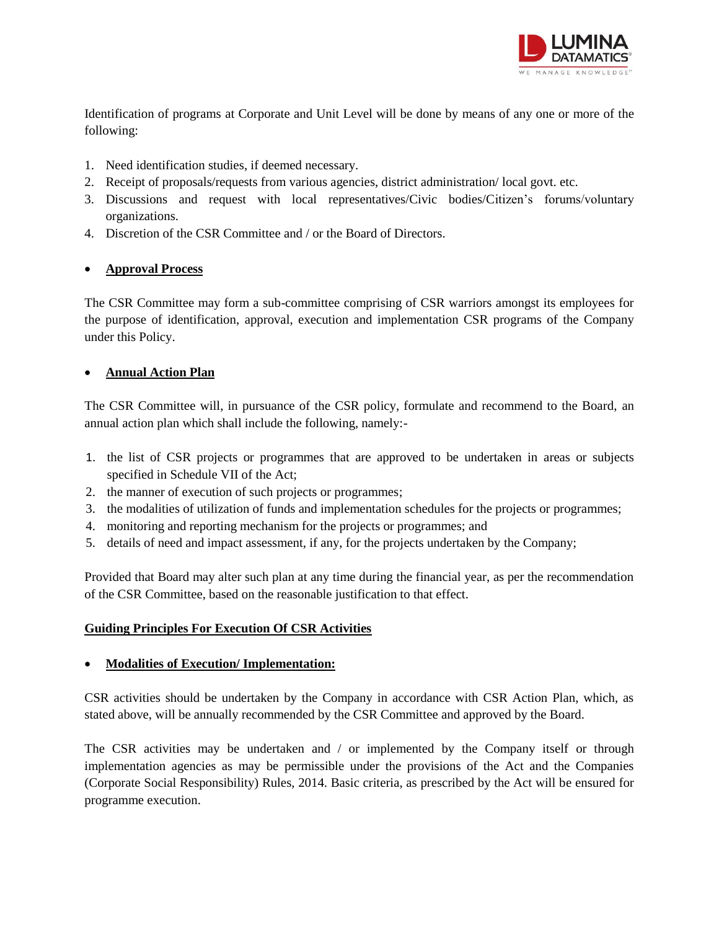

Identification of programs at Corporate and Unit Level will be done by means of any one or more of the following:

- 1. Need identification studies, if deemed necessary.
- 2. Receipt of proposals/requests from various agencies, district administration/ local govt. etc.
- 3. Discussions and request with local representatives/Civic bodies/Citizen's forums/voluntary organizations.
- 4. Discretion of the CSR Committee and / or the Board of Directors.

### **Approval Process**

The CSR Committee may form a sub-committee comprising of CSR warriors amongst its employees for the purpose of identification, approval, execution and implementation CSR programs of the Company under this Policy.

# **Annual Action Plan**

The CSR Committee will, in pursuance of the CSR policy, formulate and recommend to the Board, an annual action plan which shall include the following, namely:-

- 1. the list of CSR projects or programmes that are approved to be undertaken in areas or subjects specified in Schedule VII of the Act;
- 2. the manner of execution of such projects or programmes;
- 3. the modalities of utilization of funds and implementation schedules for the projects or programmes;
- 4. monitoring and reporting mechanism for the projects or programmes; and
- 5. details of need and impact assessment, if any, for the projects undertaken by the Company;

Provided that Board may alter such plan at any time during the financial year, as per the recommendation of the CSR Committee, based on the reasonable justification to that effect.

### **Guiding Principles For Execution Of CSR Activities**

### **Modalities of Execution/ Implementation:**

CSR activities should be undertaken by the Company in accordance with CSR Action Plan, which, as stated above, will be annually recommended by the CSR Committee and approved by the Board.

The CSR activities may be undertaken and / or implemented by the Company itself or through implementation agencies as may be permissible under the provisions of the Act and the Companies (Corporate Social Responsibility) Rules, 2014. Basic criteria, as prescribed by the Act will be ensured for programme execution.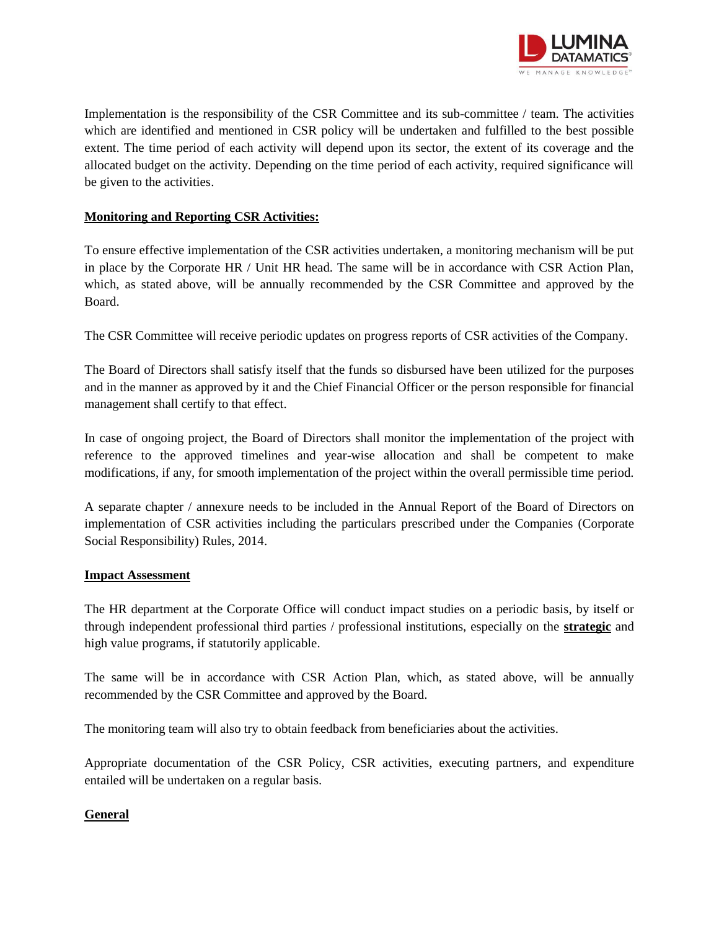

Implementation is the responsibility of the CSR Committee and its sub-committee / team. The activities which are identified and mentioned in CSR policy will be undertaken and fulfilled to the best possible extent. The time period of each activity will depend upon its sector, the extent of its coverage and the allocated budget on the activity. Depending on the time period of each activity, required significance will be given to the activities.

# **Monitoring and Reporting CSR Activities:**

To ensure effective implementation of the CSR activities undertaken, a monitoring mechanism will be put in place by the Corporate HR / Unit HR head. The same will be in accordance with CSR Action Plan, which, as stated above, will be annually recommended by the CSR Committee and approved by the Board.

The CSR Committee will receive periodic updates on progress reports of CSR activities of the Company.

The Board of Directors shall satisfy itself that the funds so disbursed have been utilized for the purposes and in the manner as approved by it and the Chief Financial Officer or the person responsible for financial management shall certify to that effect.

In case of ongoing project, the Board of Directors shall monitor the implementation of the project with reference to the approved timelines and year-wise allocation and shall be competent to make modifications, if any, for smooth implementation of the project within the overall permissible time period.

A separate chapter / annexure needs to be included in the Annual Report of the Board of Directors on implementation of CSR activities including the particulars prescribed under the Companies (Corporate Social Responsibility) Rules, 2014.

### **Impact Assessment**

The HR department at the Corporate Office will conduct impact studies on a periodic basis, by itself or through independent professional third parties / professional institutions, especially on the **strategic** and high value programs, if statutorily applicable.

The same will be in accordance with CSR Action Plan, which, as stated above, will be annually recommended by the CSR Committee and approved by the Board.

The monitoring team will also try to obtain feedback from beneficiaries about the activities.

Appropriate documentation of the CSR Policy, CSR activities, executing partners, and expenditure entailed will be undertaken on a regular basis.

### **General**